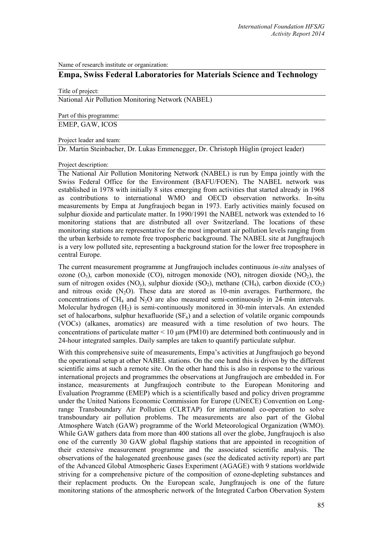Name of research institute or organization:

# **Empa, Swiss Federal Laboratories for Materials Science and Technology**

Title of project:

National Air Pollution Monitoring Network (NABEL)

Part of this programme:

EMEP, GAW, ICOS

# Project leader and team:

Dr. Martin Steinbacher, Dr. Lukas Emmenegger, Dr. Christoph Hüglin (project leader)

# Project description:

The National Air Pollution Monitoring Network (NABEL) is run by Empa jointly with the Swiss Federal Office for the Environment (BAFU/FOEN). The NABEL network was established in 1978 with initially 8 sites emerging from activities that started already in 1968 as contributions to international WMO and OECD observation networks. In-situ measurements by Empa at Jungfraujoch began in 1973. Early activities mainly focused on sulphur dioxide and particulate matter. In 1990/1991 the NABEL network was extended to 16 monitoring stations that are distributed all over Switzerland. The locations of these monitoring stations are representative for the most important air pollution levels ranging from the urban kerbside to remote free tropospheric background. The NABEL site at Jungfraujoch is a very low polluted site, representing a background station for the lower free troposphere in central Europe.

The current measurement programme at Jungfraujoch includes continuous *in-situ* analyses of ozone  $(O_3)$ , carbon monoxide (CO), nitrogen monoxide (NO), nitrogen dioxide (NO<sub>2</sub>), the sum of nitrogen oxides (NO<sub>y</sub>), sulphur dioxide (SO<sub>2</sub>), methane (CH<sub>4</sub>), carbon dioxide (CO<sub>2</sub>) and nitrous oxide  $(N_2O)$ . These data are stored as 10-min averages. Furthermore, the concentrations of  $CH_4$  and  $N_2O$  are also measured semi-continuously in 24-min intervals. Molecular hydrogen  $(H_2)$  is semi-continuously monitored in 30-min intervals. An extended set of halocarbons, sulphur hexafluoride  $(SF_6)$  and a selection of volatile organic compounds (VOCs) (alkanes, aromatics) are measured with a time resolution of two hours. The concentrations of particulate matter  $\leq 10 \mu m$  (PM10) are determined both continuously and in 24-hour integrated samples. Daily samples are taken to quantify particulate sulphur.

With this comprehensive suite of measurements, Empa's activities at Jungfraujoch go beyond the operational setup at other NABEL stations. On the one hand this is driven by the different scientific aims at such a remote site. On the other hand this is also in response to the various international projects and programmes the observations at Jungfraujoch are embedded in. For instance, measurements at Jungfraujoch contribute to the European Monitoring and Evaluation Programme (EMEP) which is a scientifically based and policy driven programme under the United Nations Economic Commission for Europe (UNECE) Convention on Longrange Transboundary Air Pollution (CLRTAP) for international co-operation to solve transboundary air pollution problems. The measurements are also part of the Global Atmosphere Watch (GAW) programme of the World Meteorological Organization (WMO). While GAW gathers data from more than 400 stations all over the globe, Jungfraujoch is also one of the currently 30 GAW global flagship stations that are appointed in recognition of their extensive measurement programme and the associated scientific analysis. The observations of the halogenated greenhouse gases (see the dedicated activity report) are part of the Advanced Global Atmospheric Gases Experiment (AGAGE) with 9 stations worldwide striving for a comprehensive picture of the composition of ozone-depleting substances and their replacment products. On the European scale, Jungfraujoch is one of the future monitoring stations of the atmospheric network of the Integrated Carbon Obervation System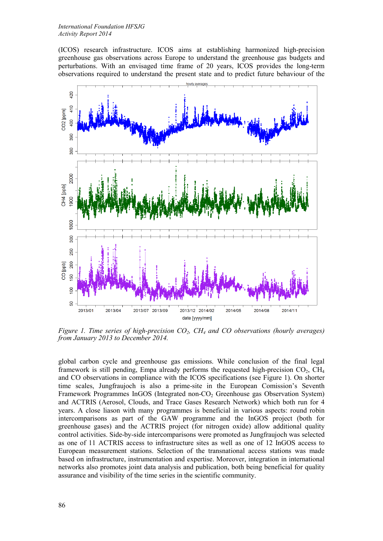(ICOS) research infrastructure. ICOS aims at establishing harmonized high-precision greenhouse gas observations across Europe to understand the greenhouse gas budgets and perturbations. With an envisaged time frame of 20 years, ICOS provides the long-term observations required to understand the present state and to predict future behaviour of the



*Figure 1. Time series of high-precision CO2, CH4 and CO observations (hourly averages) from January 2013 to December 2014.*

global carbon cycle and greenhouse gas emissions. While conclusion of the final legal framework is still pending, Empa already performs the requested high-precision  $CO<sub>2</sub>$ ,  $CH<sub>4</sub>$ and CO observations in compliance with the ICOS specifications (see Figure 1). On shorter time scales, Jungfraujoch is also a prime-site in the European Comission's Seventh Framework Programmes InGOS (Integrated non-CO<sub>2</sub> Greenhouse gas Observation System) and ACTRIS (Aerosol, Clouds, and Trace Gases Research Network) which both run for 4 years. A close liason with many programmes is beneficial in various aspects: round robin intercomparisons as part of the GAW programme and the InGOS project (both for greenhouse gases) and the ACTRIS project (for nitrogen oxide) allow additional quality control activities. Side-by-side intercomparisons were promoted as Jungfraujoch was selected as one of 11 ACTRIS access to infrastructure sites as well as one of 12 InGOS access to European measurement stations. Selection of the transnational access stations was made based on infrastructure, instrumentation and expertise. Moreover, integration in international networks also promotes joint data analysis and publication, both being beneficial for quality assurance and visibility of the time series in the scientific community.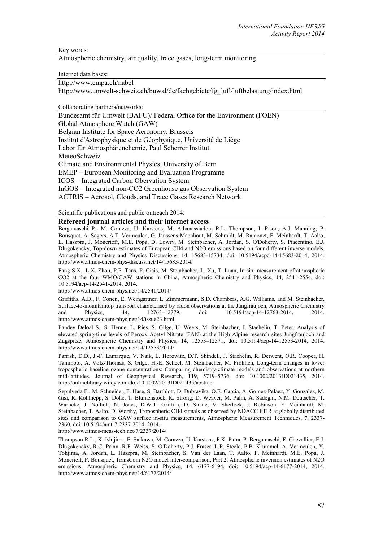Key words:

Atmospheric chemistry, air quality, trace gases, long-term monitoring

Internet data bases:

http://www.empa.ch/nabel

http://www.umwelt-schweiz.ch/buwal/de/fachgebiete/fg\_luft/luftbelastung/index.html

Collaborating partners/networks:

Bundesamt für Umwelt (BAFU)/ Federal Office for the Environment (FOEN)

Global Atmosphere Watch (GAW)

Belgian Institute for Space Aeronomy, Brussels

Institut d'Astrophysique et de Géophysique, Université de Liège

Labor für Atmosphärenchemie, Paul Scherrer Institut

MeteoSchweiz

Climate and Environmental Physics, University of Bern

EMEP – European Monitoring and Evaluation Programme

ICOS – Integrated Carbon Obervation System

InGOS – Integrated non-CO2 Greenhouse gas Observation System

ACTRIS – Aerosol, Clouds, and Trace Gases Research Network

Scientific publications and public outreach 2014:

# **Refereed journal articles and their internet access**

Bergamaschi P., M. Corazza, U. Karstens, M. Athanassiadou, R.L. Thompson, I. Pison, A.J. Manning, P. Bousquet, A. Segers, A.T. Vermeulen, G. Janssens-Maenhout, M. Schmidt, M. Ramonet, F. Meinhardt, T. Aalto, L. Haszpra, J. Moncrieff, M.E. Popa, D. Lowry, M. Steinbacher, A. Jordan, S. O'Doherty, S. Piacentino, E.J. Dlugokencky, Top-down estimates of European CH4 and N2O emissions based on four different inverse models, Atmospheric Chemistry and Physics Discussions, **14**, 15683-15734, doi: 10.5194/acpd-14-15683-2014, 2014. http://www.atmos-chem-phys-discuss.net/14/15683/2014/

Fang S.X., L.X. Zhou, P.P. Tans, P. Ciais, M. Steinbacher, L. Xu, T. Luan, In-situ measurement of atmospheric CO2 at the four WMO/GAW stations in China, Atmospheric Chemistry and Physics, **14**, 2541-2554, doi: 10.5194/acp-14-2541-2014, 2014.

http://www.atmos-chem-phys.net/14/2541/2014/

Griffiths, A.D., F. Conen, E. Weingartner, L. Zimmermann, S.D. Chambers, A.G. Williams, and M. Steinbacher, Surface-to-mountaintop transport characterised by radon observations at the Jungfraujoch, Atmospheric Chemistry<br>and Physics. 14, 12763–12779, doi: 10.5194/acp-14-12763-2014, 2014. 10.5194/acp-14-12763-2014, http://www.atmos-chem-phys.net/14/issue23.html

Pandey Deloal S., S. Henne, L. Ries, S. Gilge, U. Weers, M. Steinbacher, J. Staehelin, T. Peter, Analysis of elevated spring-time levels of Peroxy Acetyl Nitrate (PAN) at the High Alpine research sites Jungfraujoch and Zugspitze, Atmospheric Chemistry and Physics, **14**, 12553–12571, doi: 10.5194/acp-14-12553-2014, 2014. http://www.atmos-chem-phys.net/14/12553/2014/

Parrish, D.D., J.-F. Lamarque, V. Naik, L. Horowitz, D.T. Shindell, J. Staehelin, R. Derwent, O.R. Cooper, H. Tanimoto, A. Volz-Thomas, S. Gilge, H.-E. Scheel, M. Steinbacher, M. Fröhlich, Long-term changes in lower tropospheric baseline ozone concentrations: Comparing chemistry-climate models and observations at northern mid-latitudes, Journal of Geophysical Research, **119**, 5719–5736, doi: 10.1002/2013JD021435, 2014. http://onlinelibrary.wiley.com/doi/10.1002/2013JD021435/abstract

Sepulveda E., M. Schneider, F. Hase, S. Barthlott, D. Dubravika, O.E. Garcia, A. Gomez-Pelaez, Y. Gonzalez, M. Gisi, R. Kohlhepp, S. Dohe, T. Blumenstock, K. Strong, D. Weaver, M. Palm, A. Sadeghi, N.M. Deutscher, T. Warneke, J. Notholt, N. Jones, D.W.T. Griffith, D. Smale, V. Sherlock, J. Robinson, F. Meinhardt, M. Steinbacher, T. Aalto, D. Worthy, Tropospheric CH4 signals as observed by NDACC FTIR at globally distributed sites and comparison to GAW surface in-situ measurements, Atmospheric Measurement Techniques, **7**, 2337- 2360, doi: 10.5194/amt-7-2337-2014, 2014.

http://www.atmos-meas-tech.net/7/2337/2014/

Thompson R.L., K. Ishijima, E. Saikawa, M. Corazza, U. Karstens, P.K. Patra, P. Bergamaschi, F. Chevallier, E.J. Dlugokencky, R.C. Prinn, R.F. Weiss, S. O'Doherty, P.J. Fraser, L.P. Steele, P.B. Krummel, A. Vermeulen, Y. Tohjima, A. Jordan, L. Haszpra, M. Steinbacher, S. Van der Laan, T. Aalto, F. Meinhardt, M.E. Popa, J. Moncrieff, P. Bousquet, TransCom N2O model inter-comparison, Part 2: Atmospheric inversion estimates of N2O emissions, Atmospheric Chemistry and Physics, **14**, 6177-6194, doi: 10.5194/acp-14-6177-2014, 2014. http://www.atmos-chem-phys.net/14/6177/2014/